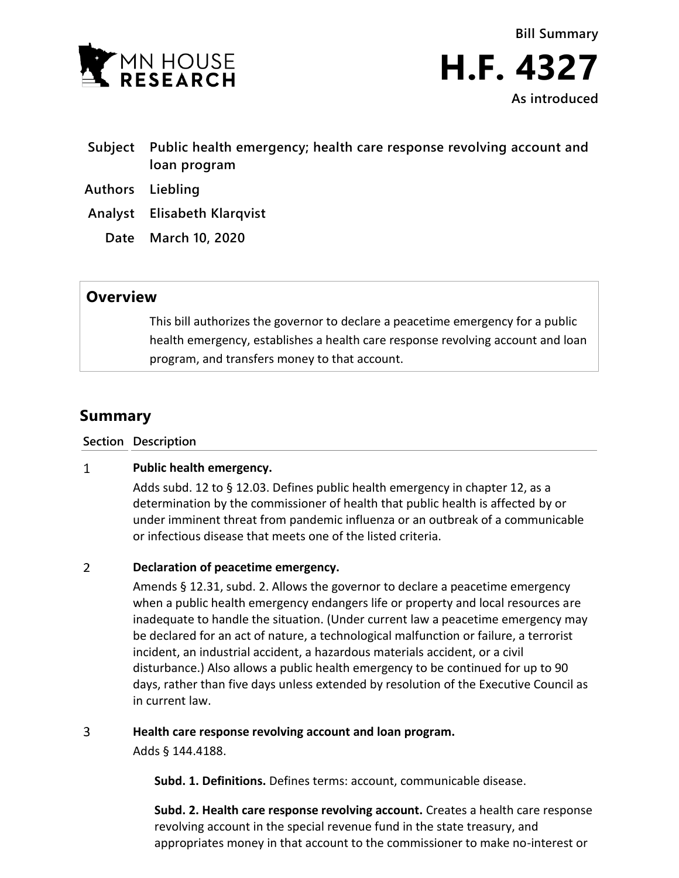

- **Subject Public health emergency; health care response revolving account and loan program**
- **Authors Liebling**
- **Analyst Elisabeth Klarqvist**
	- **Date March 10, 2020**

## **Overview**

This bill authorizes the governor to declare a peacetime emergency for a public health emergency, establishes a health care response revolving account and loan program, and transfers money to that account.

# **Summary**

**Section Description**

#### $\mathbf{1}$ **Public health emergency.**

Adds subd. 12 to § 12.03. Defines public health emergency in chapter 12, as a determination by the commissioner of health that public health is affected by or under imminent threat from pandemic influenza or an outbreak of a communicable or infectious disease that meets one of the listed criteria.

#### $\overline{2}$ **Declaration of peacetime emergency.**

Amends § 12.31, subd. 2. Allows the governor to declare a peacetime emergency when a public health emergency endangers life or property and local resources are inadequate to handle the situation. (Under current law a peacetime emergency may be declared for an act of nature, a technological malfunction or failure, a terrorist incident, an industrial accident, a hazardous materials accident, or a civil disturbance.) Also allows a public health emergency to be continued for up to 90 days, rather than five days unless extended by resolution of the Executive Council as in current law.

#### $\overline{3}$ **Health care response revolving account and loan program.**

Adds § 144.4188.

**Subd. 1. Definitions.** Defines terms: account, communicable disease.

**Subd. 2. Health care response revolving account.** Creates a health care response revolving account in the special revenue fund in the state treasury, and appropriates money in that account to the commissioner to make no-interest or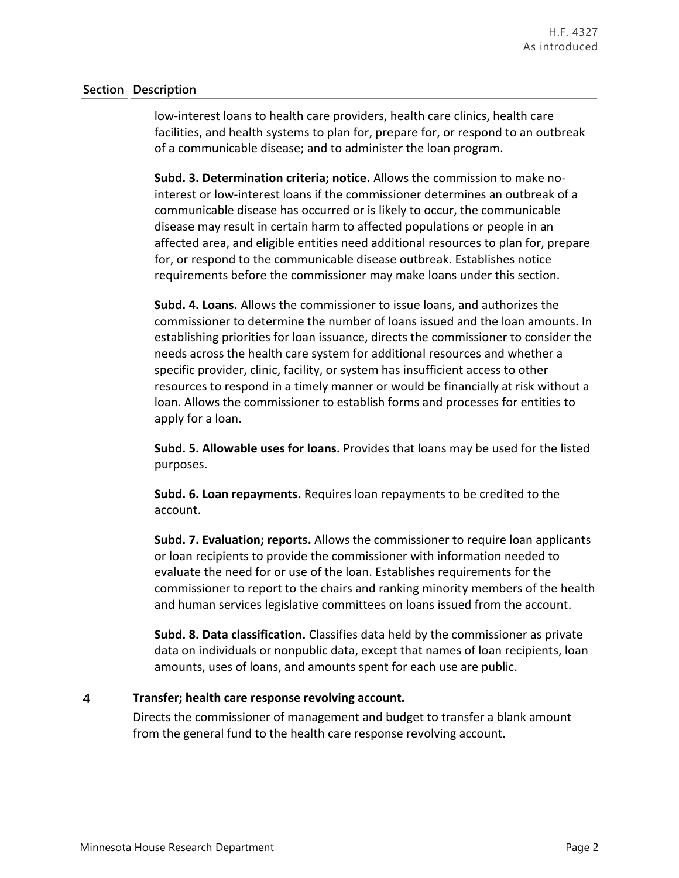### **Section Description**

low-interest loans to health care providers, health care clinics, health care facilities, and health systems to plan for, prepare for, or respond to an outbreak of a communicable disease; and to administer the loan program.

**Subd. 3. Determination criteria; notice.** Allows the commission to make nointerest or low-interest loans if the commissioner determines an outbreak of a communicable disease has occurred or is likely to occur, the communicable disease may result in certain harm to affected populations or people in an affected area, and eligible entities need additional resources to plan for, prepare for, or respond to the communicable disease outbreak. Establishes notice requirements before the commissioner may make loans under this section.

**Subd. 4. Loans.** Allows the commissioner to issue loans, and authorizes the commissioner to determine the number of loans issued and the loan amounts. In establishing priorities for loan issuance, directs the commissioner to consider the needs across the health care system for additional resources and whether a specific provider, clinic, facility, or system has insufficient access to other resources to respond in a timely manner or would be financially at risk without a loan. Allows the commissioner to establish forms and processes for entities to apply for a loan.

**Subd. 5. Allowable uses for loans.** Provides that loans may be used for the listed purposes.

**Subd. 6. Loan repayments.** Requires loan repayments to be credited to the account.

**Subd. 7. Evaluation; reports.** Allows the commissioner to require loan applicants or loan recipients to provide the commissioner with information needed to evaluate the need for or use of the loan. Establishes requirements for the commissioner to report to the chairs and ranking minority members of the health and human services legislative committees on loans issued from the account.

**Subd. 8. Data classification.** Classifies data held by the commissioner as private data on individuals or nonpublic data, except that names of loan recipients, loan amounts, uses of loans, and amounts spent for each use are public.

#### $\overline{4}$ **Transfer; health care response revolving account.**

Directs the commissioner of management and budget to transfer a blank amount from the general fund to the health care response revolving account.